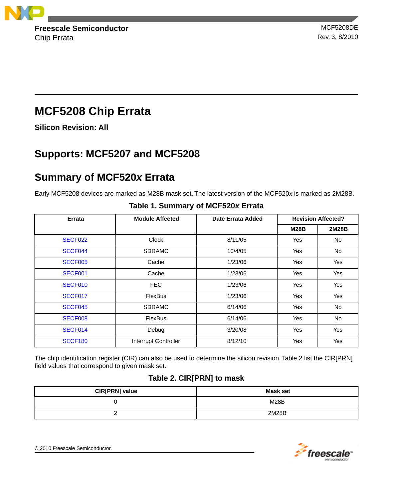

Chip Errata Rev. 3, 8/2010

# **MCF5208 Chip Errata**

**Silicon Revision: All**

# **Supports: MCF5207 and MCF5208**

# **Summary of MCF520***x* **Errata**

Early MCF5208 devices are marked as M28B mask set. The latest version of the MCF520*x* is marked as 2M28B.

| Errata              | <b>Module Affected</b> | Date Errata Added | <b>Revision Affected?</b> |       |
|---------------------|------------------------|-------------------|---------------------------|-------|
|                     |                        |                   | <b>M28B</b>               | 2M28B |
| SECF <sub>022</sub> | <b>Clock</b>           | 8/11/05           | Yes                       | No.   |
| SECF044             | <b>SDRAMC</b>          | 10/4/05           | Yes                       | No.   |
| SECF005             | Cache                  | 1/23/06           | Yes                       | Yes   |
| SECF001             | Cache                  | 1/23/06           | Yes                       | Yes   |
| SECF010             | <b>FEC</b>             | 1/23/06           | Yes                       | Yes   |
| SECF017             | <b>FlexBus</b>         | 1/23/06           | Yes                       | Yes   |
| SECF045             | <b>SDRAMC</b>          | 6/14/06           | Yes                       | No.   |
| SECF008             | <b>FlexBus</b>         | 6/14/06           | Yes                       | No.   |
| SECF014             | Debug                  | 3/20/08           | Yes                       | Yes   |
| <b>SECF180</b>      | Interrupt Controller   | 8/12/10           | Yes                       | Yes   |

#### **Table 1. Summary of MCF520***x* **Errata**

The chip identification register (CIR) can also be used to determine the silicon revision. Table 2 list the CIR[PRN] field values that correspond to given mask set.

## **Table 2. CIR[PRN] to mask**

| CIR[PRN] value | Mask set    |
|----------------|-------------|
|                | <b>M28B</b> |
|                | 2M28B       |



© 2010 Freescale Semiconductor.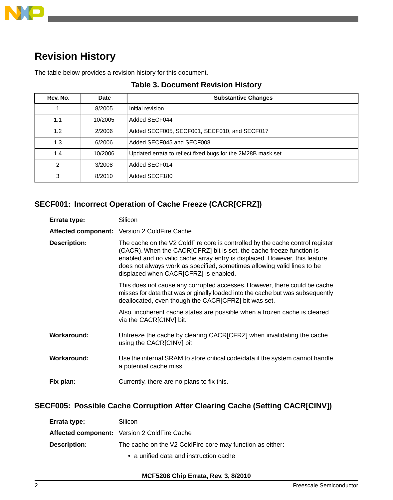

## **Revision History**

The table below provides a revision history for this document.

| Rev. No.      | Date    | <b>Substantive Changes</b>                                   |
|---------------|---------|--------------------------------------------------------------|
|               | 8/2005  | Initial revision                                             |
| 1.1           | 10/2005 | Added SECF044                                                |
| 1.2           | 2/2006  | Added SECF005, SECF001, SECF010, and SECF017                 |
| 1.3           | 6/2006  | Added SECF045 and SECF008                                    |
| 1.4           | 10/2006 | Updated errata to reflect fixed bugs for the 2M28B mask set. |
| $\mathcal{P}$ | 3/2008  | Added SECF014                                                |
| 3             | 8/2010  | Added SECF180                                                |

#### **Table 3. Document Revision History**

### <span id="page-1-1"></span>**SECF001: Incorrect Operation of Cache Freeze (CACR[CFRZ])**

| Errata type:        | Silicon                                                                                                                                                                                                                                                                                                                                                 |
|---------------------|---------------------------------------------------------------------------------------------------------------------------------------------------------------------------------------------------------------------------------------------------------------------------------------------------------------------------------------------------------|
|                     | Affected component: Version 2 ColdFire Cache                                                                                                                                                                                                                                                                                                            |
| <b>Description:</b> | The cache on the V2 ColdFire core is controlled by the cache control register<br>(CACR). When the CACR[CFRZ] bit is set, the cache freeze function is<br>enabled and no valid cache array entry is displaced. However, this feature<br>does not always work as specified, sometimes allowing valid lines to be<br>displaced when CACR[CFRZ] is enabled. |
|                     | This does not cause any corrupted accesses. However, there could be cache<br>misses for data that was originally loaded into the cache but was subsequently<br>deallocated, even though the CACR[CFRZ] bit was set.                                                                                                                                     |
|                     | Also, incoherent cache states are possible when a frozen cache is cleared<br>via the CACR[CINV] bit.                                                                                                                                                                                                                                                    |
| Workaround:         | Unfreeze the cache by clearing CACR[CFRZ] when invalidating the cache<br>using the CACR[CINV] bit                                                                                                                                                                                                                                                       |
| Workaround:         | Use the internal SRAM to store critical code/data if the system cannot handle<br>a potential cache miss                                                                                                                                                                                                                                                 |
| Fix plan:           | Currently, there are no plans to fix this.                                                                                                                                                                                                                                                                                                              |

### <span id="page-1-0"></span>**SECF005: Possible Cache Corruption After Clearing Cache (Setting CACR[CINV])**

| Errata type: | Silicon                                                   |
|--------------|-----------------------------------------------------------|
|              | <b>Affected component:</b> Version 2 ColdFire Cache       |
| Description: | The cache on the V2 ColdFire core may function as either: |
|              | • a unified data and instruction cache                    |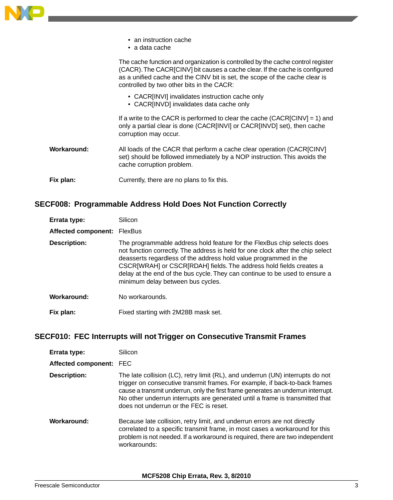

#### <span id="page-2-1"></span>**SECF008: Programmable Address Hold Does Not Function Correctly**

| Errata type:                | Silicon                                                                                                                                                                                                                                                                                                                                                                                                                  |
|-----------------------------|--------------------------------------------------------------------------------------------------------------------------------------------------------------------------------------------------------------------------------------------------------------------------------------------------------------------------------------------------------------------------------------------------------------------------|
| Affected component: FlexBus |                                                                                                                                                                                                                                                                                                                                                                                                                          |
| <b>Description:</b>         | The programmable address hold feature for the FlexBus chip selects does<br>not function correctly. The address is held for one clock after the chip select<br>deasserts regardless of the address hold value programmed in the<br>CSCR[WRAH] or CSCR[RDAH] fields. The address hold fields creates a<br>delay at the end of the bus cycle. They can continue to be used to ensure a<br>minimum delay between bus cycles. |
| Workaround:                 | No workarounds.                                                                                                                                                                                                                                                                                                                                                                                                          |
| Fix plan:                   | Fixed starting with 2M28B mask set.                                                                                                                                                                                                                                                                                                                                                                                      |

#### <span id="page-2-0"></span>**SECF010: FEC Interrupts will not Trigger on Consecutive Transmit Frames**

| Errata type:            | Silicon                                                                                                                                                                                                                                                                                                                                                                     |
|-------------------------|-----------------------------------------------------------------------------------------------------------------------------------------------------------------------------------------------------------------------------------------------------------------------------------------------------------------------------------------------------------------------------|
| Affected component: FEC |                                                                                                                                                                                                                                                                                                                                                                             |
| <b>Description:</b>     | The late collision (LC), retry limit (RL), and underrun (UN) interrupts do not<br>trigger on consecutive transmit frames. For example, if back-to-back frames<br>cause a transmit underrun, only the first frame generates an underrun interrupt.<br>No other underrun interrupts are generated until a frame is transmitted that<br>does not underrun or the FEC is reset. |
| Workaround:             | Because late collision, retry limit, and underrun errors are not directly<br>correlated to a specific transmit frame, in most cases a workaround for this<br>problem is not needed. If a workaround is required, there are two independent<br>workarounds:                                                                                                                  |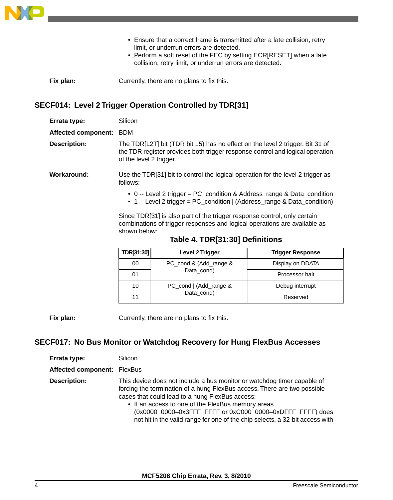

- Ensure that a correct frame is transmitted after a late collision, retry limit, or underrun errors are detected.
- Perform a soft reset of the FEC by setting ECR[RESET] when a late collision, retry limit, or underrun errors are detected.
- <span id="page-3-1"></span>**Fix plan:** Currently, there are no plans to fix this.

### **SECF014: Level 2 Trigger Operation Controlled by TDR[31]**

| Errata type:            | Silicon                                                                                                                                                                                   |
|-------------------------|-------------------------------------------------------------------------------------------------------------------------------------------------------------------------------------------|
| Affected component: BDM |                                                                                                                                                                                           |
| <b>Description:</b>     | The TDR[L2T] bit (TDR bit 15) has no effect on the level 2 trigger. Bit 31 of<br>the TDR register provides both trigger response control and logical operation<br>of the level 2 trigger. |
| Workaround:             | Use the TDR[31] bit to control the logical operation for the level 2 trigger as<br>follows:                                                                                               |
|                         | • 0 -- Level 2 trigger = PC_condition & Address_range & Data_condition<br>• 1 -- Level 2 trigger = PC_condition   (Address_range & Data_condition)                                        |
|                         | Since TDR[31] is also part of the trigger response control, only certain<br>combinations of trigger responses and logical operations are available as<br>shown below:                     |

| TDR[31:30] | Level 2 Trigger                      | <b>Trigger Response</b> |
|------------|--------------------------------------|-------------------------|
| 00         | PC_cond & (Add_range &<br>Data cond) | Display on DDATA        |
| 01         |                                      | Processor halt          |
| 10         | PC_cond   (Add_range &<br>Data cond) | Debug interrupt         |
| 11         |                                      | Reserved                |

<span id="page-3-0"></span>**Fix plan:** Currently, there are no plans to fix this.

### **SECF017: No Bus Monitor or Watchdog Recovery for Hung FlexBus Accesses**

| Errata type:                | Silicon                                                                                                                                                                                                                                                                                                                                                                                                  |
|-----------------------------|----------------------------------------------------------------------------------------------------------------------------------------------------------------------------------------------------------------------------------------------------------------------------------------------------------------------------------------------------------------------------------------------------------|
| Affected component: FlexBus |                                                                                                                                                                                                                                                                                                                                                                                                          |
| <b>Description:</b>         | This device does not include a bus monitor or watchdog timer capable of<br>forcing the termination of a hung FlexBus access. There are two possible<br>cases that could lead to a hung FlexBus access:<br>• If an access to one of the FlexBus memory areas<br>(0x0000_0000-0x3FFF_FFFF or 0xC000_0000-0xDFFF_FFFF) does<br>not hit in the valid range for one of the chip selects, a 32-bit access with |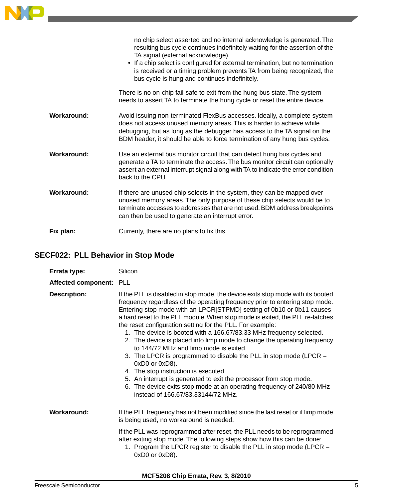|             | no chip select asserted and no internal acknowledge is generated. The<br>resulting bus cycle continues indefinitely waiting for the assertion of the<br>TA signal (external acknowledge).<br>• If a chip select is configured for external termination, but no termination<br>is received or a timing problem prevents TA from being recognized, the<br>bus cycle is hung and continues indefinitely. |
|-------------|-------------------------------------------------------------------------------------------------------------------------------------------------------------------------------------------------------------------------------------------------------------------------------------------------------------------------------------------------------------------------------------------------------|
|             | There is no on-chip fail-safe to exit from the hung bus state. The system<br>needs to assert TA to terminate the hung cycle or reset the entire device.                                                                                                                                                                                                                                               |
| Workaround: | Avoid issuing non-terminated FlexBus accesses. Ideally, a complete system<br>does not access unused memory areas. This is harder to achieve while<br>debugging, but as long as the debugger has access to the TA signal on the<br>BDM header, it should be able to force termination of any hung bus cycles.                                                                                          |
| Workaround: | Use an external bus monitor circuit that can detect hung bus cycles and<br>generate a TA to terminate the access. The bus monitor circuit can optionally<br>assert an external interrupt signal along with TA to indicate the error condition<br>back to the CPU.                                                                                                                                     |
| Workaround: | If there are unused chip selects in the system, they can be mapped over<br>unused memory areas. The only purpose of these chip selects would be to<br>terminate accesses to addresses that are not used. BDM address breakpoints<br>can then be used to generate an interrupt error.                                                                                                                  |
| Fix plan:   | Currenty, there are no plans to fix this.                                                                                                                                                                                                                                                                                                                                                             |

### <span id="page-4-0"></span>**SECF022: PLL Behavior in Stop Mode**

| Errata type:            | Silicon                                                                                                                                                                                                                                                                                                                                                                                                                                                                                                                                                                                                                                                                                                                                                                                                                                                                                                  |
|-------------------------|----------------------------------------------------------------------------------------------------------------------------------------------------------------------------------------------------------------------------------------------------------------------------------------------------------------------------------------------------------------------------------------------------------------------------------------------------------------------------------------------------------------------------------------------------------------------------------------------------------------------------------------------------------------------------------------------------------------------------------------------------------------------------------------------------------------------------------------------------------------------------------------------------------|
| Affected component: PLL |                                                                                                                                                                                                                                                                                                                                                                                                                                                                                                                                                                                                                                                                                                                                                                                                                                                                                                          |
| <b>Description:</b>     | If the PLL is disabled in stop mode, the device exits stop mode with its booted<br>frequency regardless of the operating frequency prior to entering stop mode.<br>Entering stop mode with an LPCR[STPMD] setting of 0b10 or 0b11 causes<br>a hard reset to the PLL module. When stop mode is exited, the PLL re-latches<br>the reset configuration setting for the PLL. For example:<br>1. The device is booted with a 166.67/83.33 MHz frequency selected.<br>2. The device is placed into limp mode to change the operating frequency<br>to 144/72 MHz and limp mode is exited.<br>3. The LPCR is programmed to disable the PLL in stop mode (LPCR $=$<br>0xD0 or 0xD8).<br>4. The stop instruction is executed.<br>5. An interrupt is generated to exit the processor from stop mode.<br>6. The device exits stop mode at an operating frequency of 240/80 MHz<br>instead of 166.67/83.33144/72 MHz. |
| Workaround:             | If the PLL frequency has not been modified since the last reset or if limp mode<br>is being used, no workaround is needed.<br>If the PLL was reprogrammed after reset, the PLL needs to be reprogrammed<br>after exiting stop mode. The following steps show how this can be done:<br>1. Program the LPCR register to disable the PLL in stop mode (LPCR =<br>0xD0 or 0xD8).                                                                                                                                                                                                                                                                                                                                                                                                                                                                                                                             |

**MCF5208 Chip Errata, Rev. 3, 8/2010**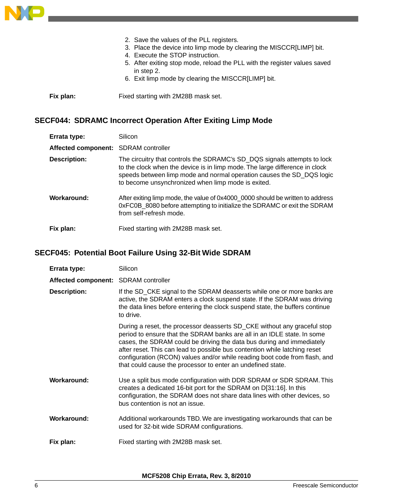

2. Save the values of the PLL registers. 3. Place the device into limp mode by clearing the MISCCR[LIMP] bit. 4. Execute the STOP instruction. 5. After exiting stop mode, reload the PLL with the register values saved in step 2. 6. Exit limp mode by clearing the MISCCR[LIMP] bit. **Fix plan:** Fixed starting with 2M28B mask set.

### <span id="page-5-0"></span>**SECF044: SDRAMC Incorrect Operation After Exiting Limp Mode**

| Errata type:                         | Silicon                                                                                                                                                                                                                                                                                |
|--------------------------------------|----------------------------------------------------------------------------------------------------------------------------------------------------------------------------------------------------------------------------------------------------------------------------------------|
| Affected component: SDRAM controller |                                                                                                                                                                                                                                                                                        |
| <b>Description:</b>                  | The circuitry that controls the SDRAMC's SD_DQS signals attempts to lock<br>to the clock when the device is in limp mode. The large difference in clock<br>speeds between limp mode and normal operation causes the SD_DQS logic<br>to become unsynchronized when limp mode is exited. |
| Workaround:                          | After exiting limp mode, the value of 0x4000_0000 should be written to address<br>0xFC0B_8080 before attempting to initialize the SDRAMC or exit the SDRAM<br>from self-refresh mode.                                                                                                  |
| Fix plan:                            | Fixed starting with 2M28B mask set.                                                                                                                                                                                                                                                    |

## <span id="page-5-1"></span>**SECF045: Potential Boot Failure Using 32-Bit Wide SDRAM**

| Errata type:                         | Silicon                                                                                                                                                                                                                                                                                                                                                                                                                                                 |
|--------------------------------------|---------------------------------------------------------------------------------------------------------------------------------------------------------------------------------------------------------------------------------------------------------------------------------------------------------------------------------------------------------------------------------------------------------------------------------------------------------|
| Affected component: SDRAM controller |                                                                                                                                                                                                                                                                                                                                                                                                                                                         |
| <b>Description:</b>                  | If the SD_CKE signal to the SDRAM deasserts while one or more banks are<br>active, the SDRAM enters a clock suspend state. If the SDRAM was driving<br>the data lines before entering the clock suspend state, the buffers continue<br>to drive.                                                                                                                                                                                                        |
|                                      | During a reset, the processor deasserts SD_CKE without any graceful stop<br>period to ensure that the SDRAM banks are all in an IDLE state. In some<br>cases, the SDRAM could be driving the data bus during and immediately<br>after reset. This can lead to possible bus contention while latching reset<br>configuration (RCON) values and/or while reading boot code from flash, and<br>that could cause the processor to enter an undefined state. |
| Workaround:                          | Use a split bus mode configuration with DDR SDRAM or SDR SDRAM. This<br>creates a dedicated 16-bit port for the SDRAM on D[31:16]. In this<br>configuration, the SDRAM does not share data lines with other devices, so<br>bus contention is not an issue.                                                                                                                                                                                              |
| Workaround:                          | Additional workarounds TBD. We are investigating workarounds that can be<br>used for 32-bit wide SDRAM configurations.                                                                                                                                                                                                                                                                                                                                  |
| Fix plan:                            | Fixed starting with 2M28B mask set.                                                                                                                                                                                                                                                                                                                                                                                                                     |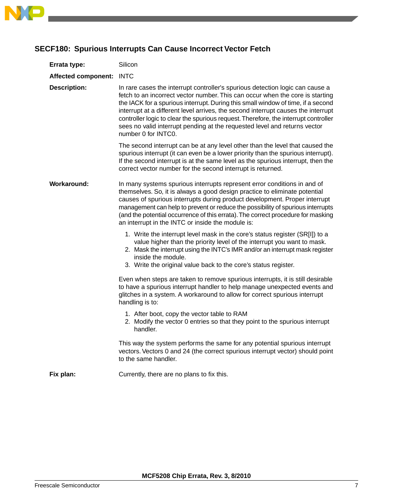

### <span id="page-6-0"></span>**SECF180: Spurious Interrupts Can Cause Incorrect Vector Fetch**

| Errata type:               | Silicon                                                                                                                                                                                                                                                                                                                                                                                                                                                                                                                            |
|----------------------------|------------------------------------------------------------------------------------------------------------------------------------------------------------------------------------------------------------------------------------------------------------------------------------------------------------------------------------------------------------------------------------------------------------------------------------------------------------------------------------------------------------------------------------|
| <b>Affected component:</b> | <b>INTC</b>                                                                                                                                                                                                                                                                                                                                                                                                                                                                                                                        |
| <b>Description:</b>        | In rare cases the interrupt controller's spurious detection logic can cause a<br>fetch to an incorrect vector number. This can occur when the core is starting<br>the IACK for a spurious interrupt. During this small window of time, if a second<br>interrupt at a different level arrives, the second interrupt causes the interrupt<br>controller logic to clear the spurious request. Therefore, the interrupt controller<br>sees no valid interrupt pending at the requested level and returns vector<br>number 0 for INTC0. |
|                            | The second interrupt can be at any level other than the level that caused the<br>spurious interrupt (it can even be a lower priority than the spurious interrupt).<br>If the second interrupt is at the same level as the spurious interrupt, then the<br>correct vector number for the second interrupt is returned.                                                                                                                                                                                                              |
| <b>Workaround:</b>         | In many systems spurious interrupts represent error conditions in and of<br>themselves. So, it is always a good design practice to eliminate potential<br>causes of spurious interrupts during product development. Proper interrupt<br>management can help to prevent or reduce the possibility of spurious interrupts<br>(and the potential occurrence of this errata). The correct procedure for masking<br>an interrupt in the INTC or inside the module is:                                                                   |
|                            | 1. Write the interrupt level mask in the core's status register (SR[I]) to a<br>value higher than the priority level of the interrupt you want to mask.<br>2. Mask the interrupt using the INTC's IMR and/or an interrupt mask register<br>inside the module.<br>3. Write the original value back to the core's status register.                                                                                                                                                                                                   |
|                            | Even when steps are taken to remove spurious interrupts, it is still desirable<br>to have a spurious interrupt handler to help manage unexpected events and<br>glitches in a system. A workaround to allow for correct spurious interrupt<br>handling is to:                                                                                                                                                                                                                                                                       |
|                            | 1. After boot, copy the vector table to RAM<br>2. Modify the vector 0 entries so that they point to the spurious interrupt<br>handler.                                                                                                                                                                                                                                                                                                                                                                                             |
|                            | This way the system performs the same for any potential spurious interrupt<br>vectors. Vectors 0 and 24 (the correct spurious interrupt vector) should point<br>to the same handler.                                                                                                                                                                                                                                                                                                                                               |
| Fix plan:                  | Currently, there are no plans to fix this.                                                                                                                                                                                                                                                                                                                                                                                                                                                                                         |